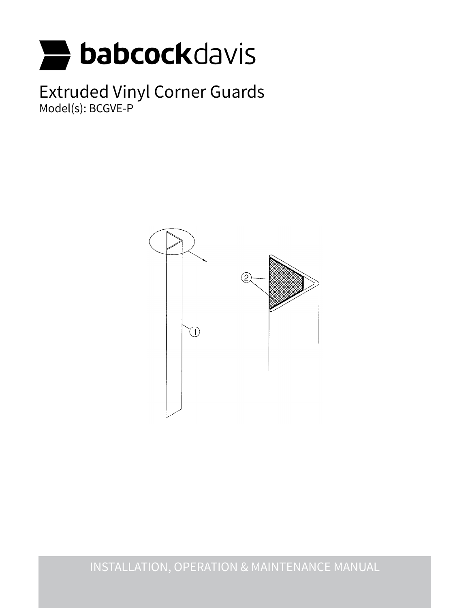

Extruded Vinyl Corner Guards Model(s): BCGVE-P



INSTALLATION, OPERATION & MAINTENANCE MANUAL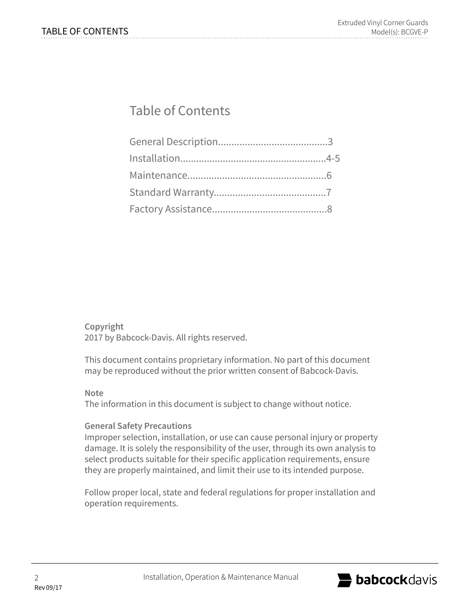# Table of Contents

**Copyright** 2017 by Babcock-Davis. All rights reserved.

This document contains proprietary information. No part of this document may be reproduced without the prior written consent of Babcock-Davis.

#### **Note**

The information in this document is subject to change without notice.

# **General Safety Precautions**

Improper selection, installation, or use can cause personal injury or property damage. It is solely the responsibility of the user, through its own analysis to select products suitable for their specific application requirements, ensure they are properly maintained, and limit their use to its intended purpose.

Follow proper local, state and federal regulations for proper installation and operation requirements.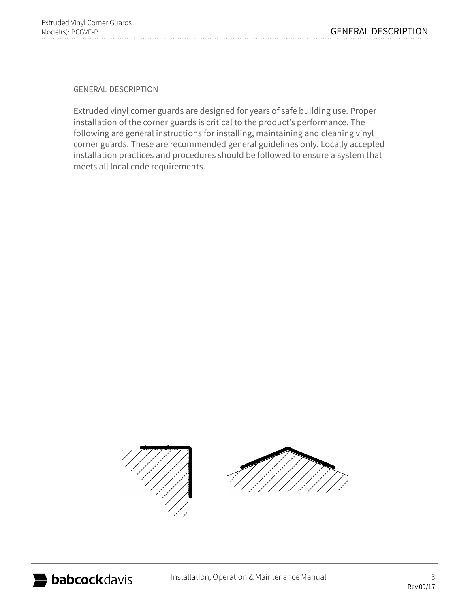general description

Extruded vinyl corner guards are designed for years of safe building use. Proper installation of the corner guards is critical to the product's performance. The following are general instructions for installing, maintaining and cleaning vinyl corner guards. These are recommended general guidelines only. Locally accepted installation practices and procedures should be followed to ensure a system that meets all local code requirements.

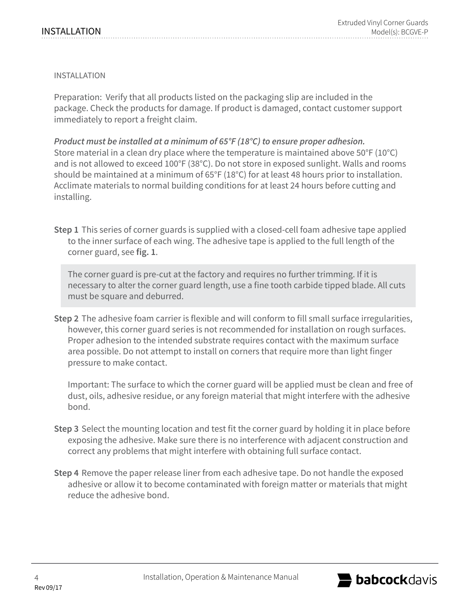### installation

Preparation: Verify that all products listed on the packaging slip are included in the package. Check the products for damage. If product is damaged, contact customer support immediately to report a freight claim.

*Product must be installed at a minimum of 65°F (18°C) to ensure proper adhesion.*  Store material in a clean dry place where the temperature is maintained above 50°F (10°C) and is not allowed to exceed 100°F (38°C). Do not store in exposed sunlight. Walls and rooms should be maintained at a minimum of 65°F (18°C) for at least 48 hours prior to installation. Acclimate materials to normal building conditions for at least 24 hours before cutting and installing.

**Step 1** This series of corner guards is supplied with a closed-cell foam adhesive tape applied to the inner surface of each wing. The adhesive tape is applied to the full length of the corner guard, see **fig. 1**.

The corner guard is pre-cut at the factory and requires no further trimming. If it is necessary to alter the corner guard length, use a fine tooth carbide tipped blade. All cuts must be square and deburred.

**Step 2** The adhesive foam carrier is flexible and will conform to fill small surface irregularities, however, this corner guard series is not recommended for installation on rough surfaces. Proper adhesion to the intended substrate requires contact with the maximum surface area possible. Do not attempt to install on corners that require more than light finger pressure to make contact.

Important: The surface to which the corner guard will be applied must be clean and free of dust, oils, adhesive residue, or any foreign material that might interfere with the adhesive bond.

- **Step 3** Select the mounting location and test fit the corner guard by holding it in place before exposing the adhesive. Make sure there is no interference with adjacent construction and correct any problems that might interfere with obtaining full surface contact.
- **Step 4** Remove the paper release liner from each adhesive tape. Do not handle the exposed adhesive or allow it to become contaminated with foreign matter or materials that might reduce the adhesive bond.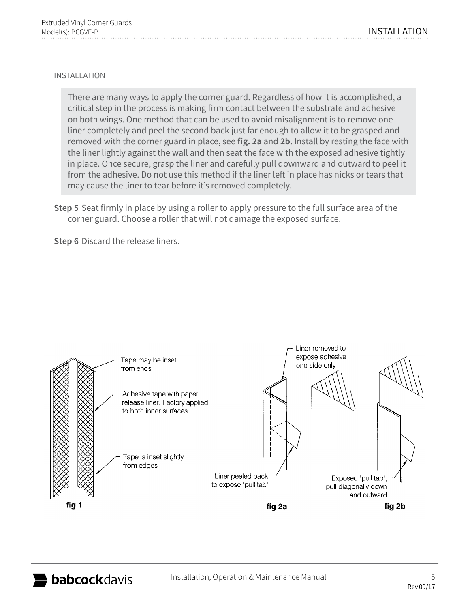## installation

There are many ways to apply the corner guard. Regardless of how it is accomplished, a critical step in the process is making firm contact between the substrate and adhesive on both wings. One method that can be used to avoid misalignment is to remove one liner completely and peel the second back just far enough to allow it to be grasped and removed with the corner guard in place, see **fig. 2a** and **2b**. Install by resting the face with the liner lightly against the wall and then seat the face with the exposed adhesive tightly in place. Once secure, grasp the liner and carefully pull downward and outward to peel it from the adhesive. Do not use this method if the liner left in place has nicks or tears that may cause the liner to tear before it's removed completely.

**Step 5** Seat firmly in place by using a roller to apply pressure to the full surface area of the corner guard. Choose a roller that will not damage the exposed surface.

**Step 6** Discard the release liners.

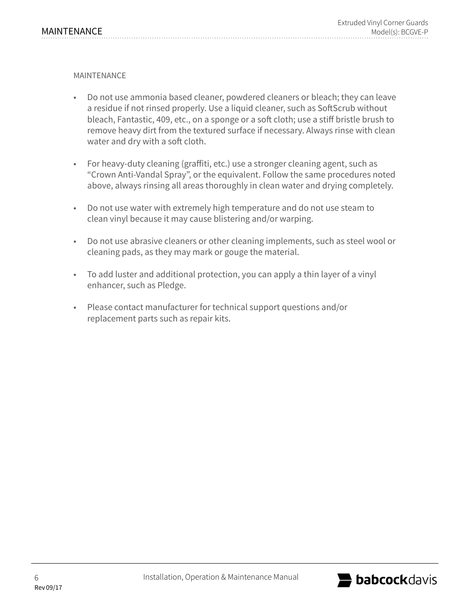**MAINTFNANCF** 

- Do not use ammonia based cleaner, powdered cleaners or bleach; they can leave a residue if not rinsed properly. Use a liquid cleaner, such as SoftScrub without bleach, Fantastic, 409, etc., on a sponge or a soft cloth; use a stiff bristle brush to remove heavy dirt from the textured surface if necessary. Always rinse with clean water and dry with a soft cloth.
- For heavy-duty cleaning (graffiti, etc.) use a stronger cleaning agent, such as "Crown Anti-Vandal Spray", or the equivalent. Follow the same procedures noted above, always rinsing all areas thoroughly in clean water and drying completely.
- Do not use water with extremely high temperature and do not use steam to clean vinyl because it may cause blistering and/or warping.
- Do not use abrasive cleaners or other cleaning implements, such as steel wool or cleaning pads, as they may mark or gouge the material.
- To add luster and additional protection, you can apply a thin layer of a vinyl enhancer, such as Pledge.
- Please contact manufacturer for technical support questions and/or replacement parts such as repair kits.

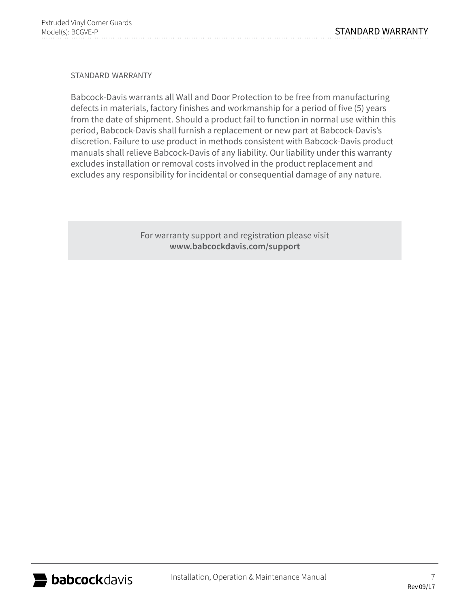standard warranty

Babcock-Davis warrants all Wall and Door Protection to be free from manufacturing defects in materials, factory finishes and workmanship for a period of five (5) years from the date of shipment. Should a product fail to function in normal use within this period, Babcock-Davis shall furnish a replacement or new part at Babcock-Davis's discretion. Failure to use product in methods consistent with Babcock-Davis product manuals shall relieve Babcock-Davis of any liability. Our liability under this warranty excludes installation or removal costs involved in the product replacement and excludes any responsibility for incidental or consequential damage of any nature.

> For warranty support and registration please visit **www.babcockdavis.com/support**

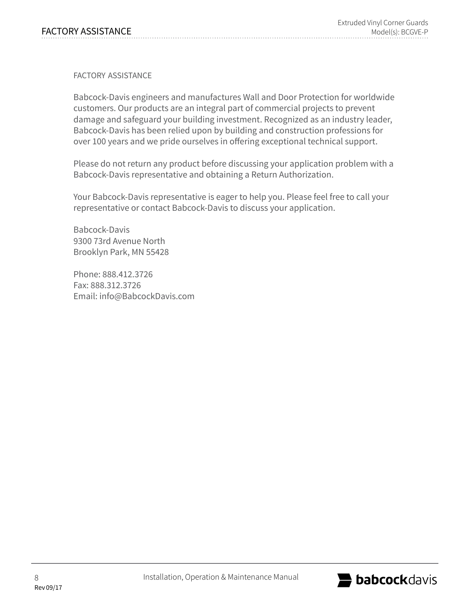factory assistance

Babcock-Davis engineers and manufactures Wall and Door Protection for worldwide customers. Our products are an integral part of commercial projects to prevent damage and safeguard your building investment. Recognized as an industry leader, Babcock-Davis has been relied upon by building and construction professions for over 100 years and we pride ourselves in offering exceptional technical support.

Please do not return any product before discussing your application problem with a Babcock-Davis representative and obtaining a Return Authorization.

Your Babcock-Davis representative is eager to help you. Please feel free to call your representative or contact Babcock-Davis to discuss your application.

Babcock-Davis 9300 73rd Avenue North Brooklyn Park, MN 55428

Phone: 888.412.3726 Fax: 888.312.3726 Email: info@BabcockDavis.com